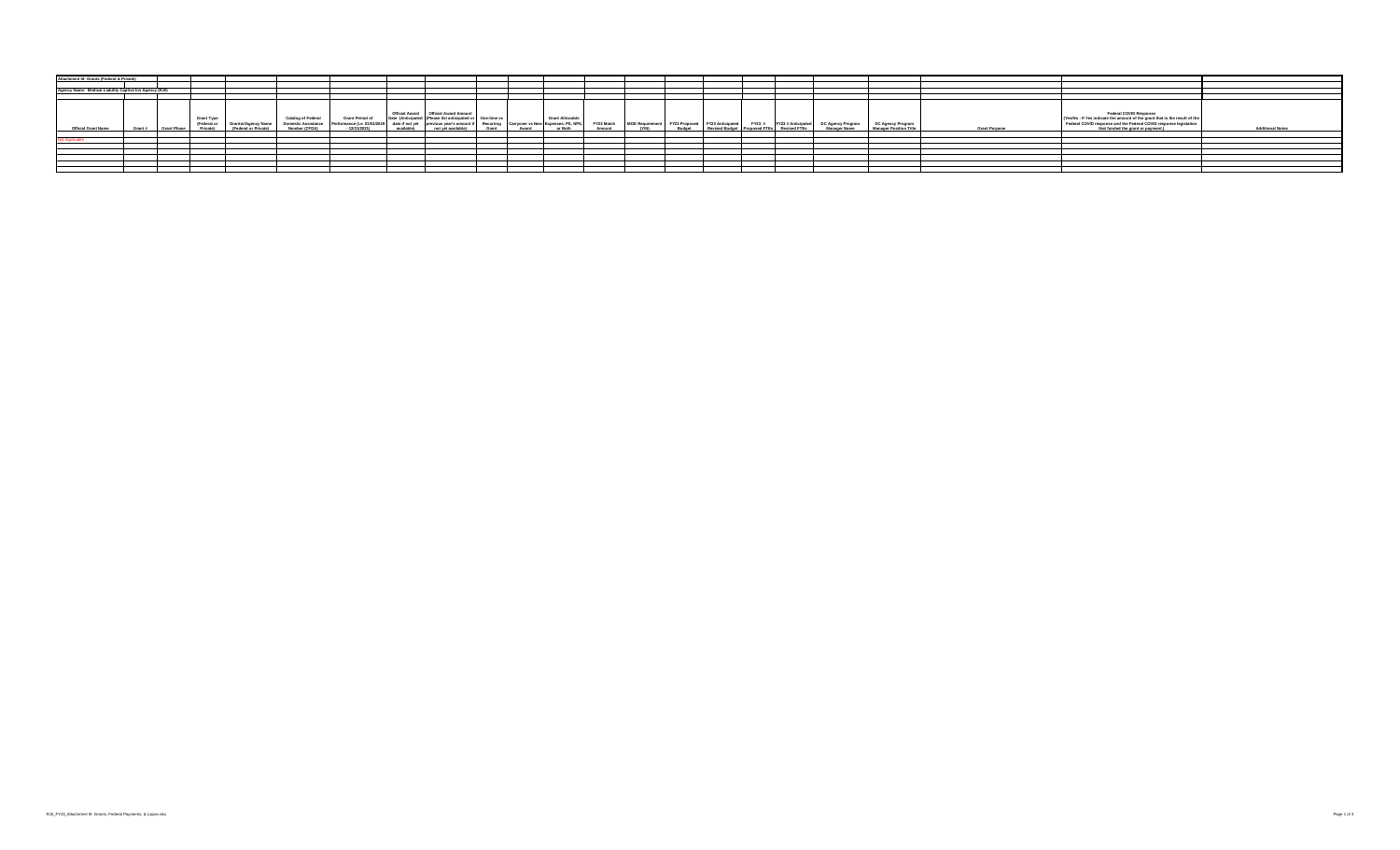| Attachment III- Grants (Federal & Private)              |  |                              |                                  |                                             |                                                                          |                                                         |            |                                                                                                                                                         |                                    |       |                                                                          |        |                                                                    |               |  |                                                                        |                                          |                                                           |                      |                                                                                                                                                                                                                                             |
|---------------------------------------------------------|--|------------------------------|----------------------------------|---------------------------------------------|--------------------------------------------------------------------------|---------------------------------------------------------|------------|---------------------------------------------------------------------------------------------------------------------------------------------------------|------------------------------------|-------|--------------------------------------------------------------------------|--------|--------------------------------------------------------------------|---------------|--|------------------------------------------------------------------------|------------------------------------------|-----------------------------------------------------------|----------------------|---------------------------------------------------------------------------------------------------------------------------------------------------------------------------------------------------------------------------------------------|
|                                                         |  |                              |                                  |                                             |                                                                          |                                                         |            |                                                                                                                                                         |                                    |       |                                                                          |        |                                                                    |               |  |                                                                        |                                          |                                                           |                      |                                                                                                                                                                                                                                             |
| Agency Name: Medical Liability Captive Ins Agency (RJ0) |  |                              |                                  |                                             |                                                                          |                                                         |            |                                                                                                                                                         |                                    |       |                                                                          |        |                                                                    |               |  |                                                                        |                                          |                                                           |                      |                                                                                                                                                                                                                                             |
|                                                         |  |                              |                                  |                                             |                                                                          |                                                         |            |                                                                                                                                                         |                                    |       |                                                                          |        |                                                                    |               |  |                                                                        |                                          |                                                           |                      |                                                                                                                                                                                                                                             |
| <b>Official Grant Name</b>                              |  | Grant # Grant Phase Private) | <b>Grant Type</b><br>(Federal or | Grantor/Agency Name<br>(Federal or Private) | <b>Catalog of Federal</b><br><b>Domestic Assistance</b><br>Number (CFDA) | <b>Grant Period of</b><br>Performance (i.e. 01/01/2019) | available) | Official Award   Official Award Amount<br>Date (Anticipated (Please list anticipated<br>date if not yet previous year's amount if<br>not vet available) | Cone-time vs<br>Recurring<br>Grant | Award | <b>Grant Allowable</b><br>Carryover vs New Expenses: PS, NPS,<br>or Both | Amount | FY23 Match MOE Requirement FY23 Proposed FY23 Anticipated<br>(V/M) | <b>Budget</b> |  | FY23 # FY23 # Anticipated<br>Revised Budget Proposed FTEs Revised FTEs | DC Agency Program<br><b>Manager Name</b> | <b>DC Agency Program</b><br><b>Manager Position Title</b> | <b>Grant Purpose</b> | Federal COVID Response<br>(Yes/No - If Yes indicate the amount of the grant that is the result of the<br>Federal COVID response and the Federal COVID response legislation<br><b>Additional Notes</b><br>that funded the grant or payment.) |
|                                                         |  |                              |                                  |                                             |                                                                          |                                                         |            |                                                                                                                                                         |                                    |       |                                                                          |        |                                                                    |               |  |                                                                        |                                          |                                                           |                      |                                                                                                                                                                                                                                             |
|                                                         |  |                              |                                  |                                             |                                                                          |                                                         |            |                                                                                                                                                         |                                    |       |                                                                          |        |                                                                    |               |  |                                                                        |                                          |                                                           |                      |                                                                                                                                                                                                                                             |
|                                                         |  |                              |                                  |                                             |                                                                          |                                                         |            |                                                                                                                                                         |                                    |       |                                                                          |        |                                                                    |               |  |                                                                        |                                          |                                                           |                      |                                                                                                                                                                                                                                             |
|                                                         |  |                              |                                  |                                             |                                                                          |                                                         |            |                                                                                                                                                         |                                    |       |                                                                          |        |                                                                    |               |  |                                                                        |                                          |                                                           |                      |                                                                                                                                                                                                                                             |
|                                                         |  |                              |                                  |                                             |                                                                          |                                                         |            |                                                                                                                                                         |                                    |       |                                                                          |        |                                                                    |               |  |                                                                        |                                          |                                                           |                      |                                                                                                                                                                                                                                             |
|                                                         |  |                              |                                  |                                             |                                                                          |                                                         |            |                                                                                                                                                         |                                    |       |                                                                          |        |                                                                    |               |  |                                                                        |                                          |                                                           |                      |                                                                                                                                                                                                                                             |
|                                                         |  |                              |                                  |                                             |                                                                          |                                                         |            |                                                                                                                                                         |                                    |       |                                                                          |        |                                                                    |               |  |                                                                        |                                          |                                                           |                      |                                                                                                                                                                                                                                             |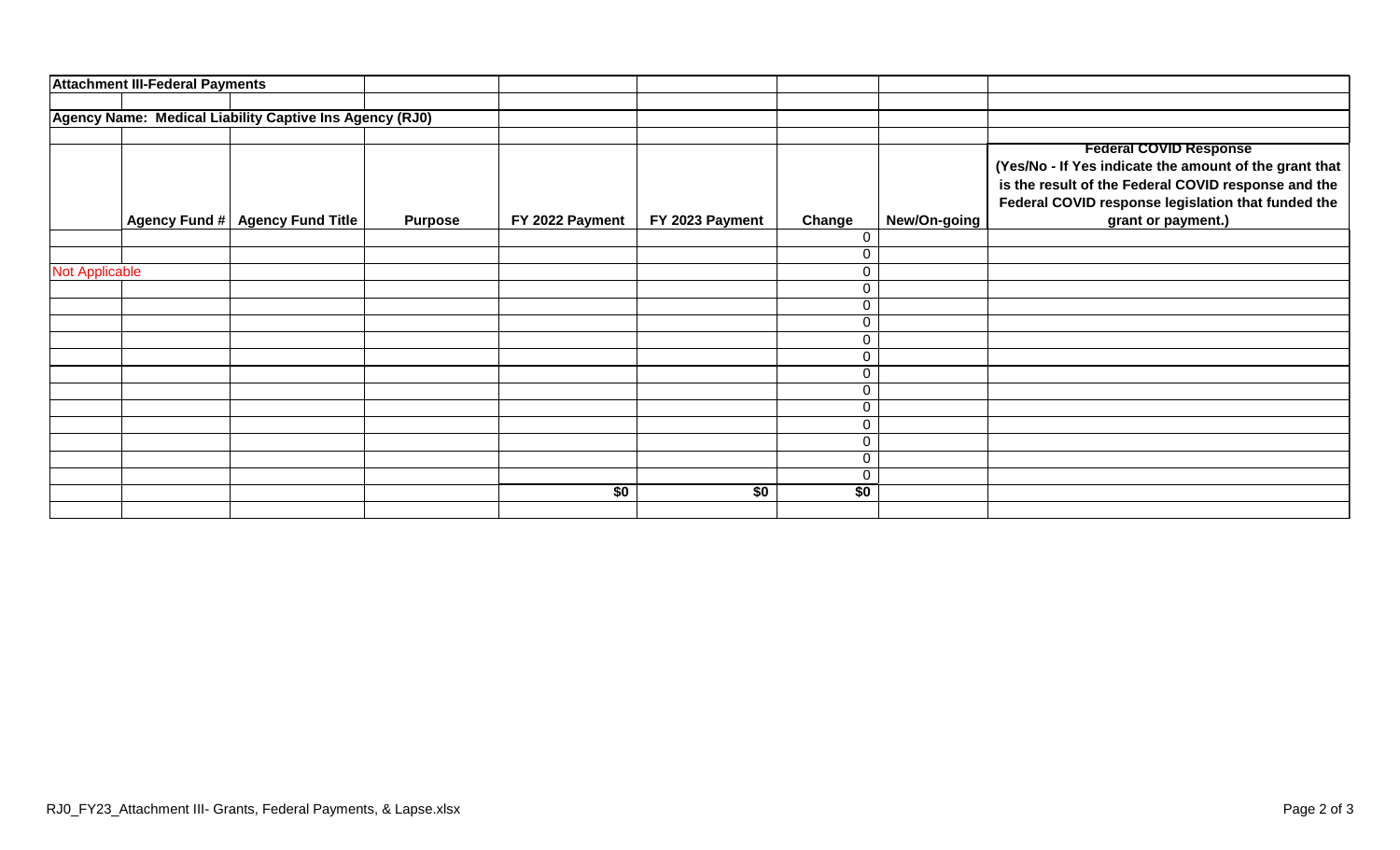|                       | <b>Attachment III-Federal Payments</b> |                                                         |                |                 |                 |                 |              |                                                        |
|-----------------------|----------------------------------------|---------------------------------------------------------|----------------|-----------------|-----------------|-----------------|--------------|--------------------------------------------------------|
|                       |                                        |                                                         |                |                 |                 |                 |              |                                                        |
|                       |                                        | Agency Name: Medical Liability Captive Ins Agency (RJ0) |                |                 |                 |                 |              |                                                        |
|                       |                                        |                                                         |                |                 |                 |                 |              |                                                        |
|                       |                                        |                                                         |                |                 |                 |                 |              | <b>Federal COVID Response</b>                          |
|                       |                                        |                                                         |                |                 |                 |                 |              | (Yes/No - If Yes indicate the amount of the grant that |
|                       |                                        |                                                         |                |                 |                 |                 |              | is the result of the Federal COVID response and the    |
|                       |                                        |                                                         |                |                 |                 |                 |              | Federal COVID response legislation that funded the     |
|                       | Agency Fund #                          | <b>Agency Fund Title</b>                                | <b>Purpose</b> | FY 2022 Payment | FY 2023 Payment | Change          | New/On-going | grant or payment.)                                     |
|                       |                                        |                                                         |                |                 |                 | 0               |              |                                                        |
|                       |                                        |                                                         |                |                 |                 | 0               |              |                                                        |
| <b>Not Applicable</b> |                                        |                                                         |                |                 |                 | 0               |              |                                                        |
|                       |                                        |                                                         |                |                 |                 | 0               |              |                                                        |
|                       |                                        |                                                         |                |                 |                 | 0               |              |                                                        |
|                       |                                        |                                                         |                |                 |                 | 0               |              |                                                        |
|                       |                                        |                                                         |                |                 |                 | 0               |              |                                                        |
|                       |                                        |                                                         |                |                 |                 | 0               |              |                                                        |
|                       |                                        |                                                         |                |                 |                 | 0               |              |                                                        |
|                       |                                        |                                                         |                |                 |                 | 0               |              |                                                        |
|                       |                                        |                                                         |                |                 |                 | 0               |              |                                                        |
|                       |                                        |                                                         |                |                 |                 | 0               |              |                                                        |
|                       |                                        |                                                         |                |                 |                 | 0               |              |                                                        |
|                       |                                        |                                                         |                |                 |                 | $\Omega$        |              |                                                        |
|                       |                                        |                                                         |                |                 |                 | 0               |              |                                                        |
|                       |                                        |                                                         |                | $\overline{50}$ | \$0             | $\overline{50}$ |              |                                                        |
|                       |                                        |                                                         |                |                 |                 |                 |              |                                                        |